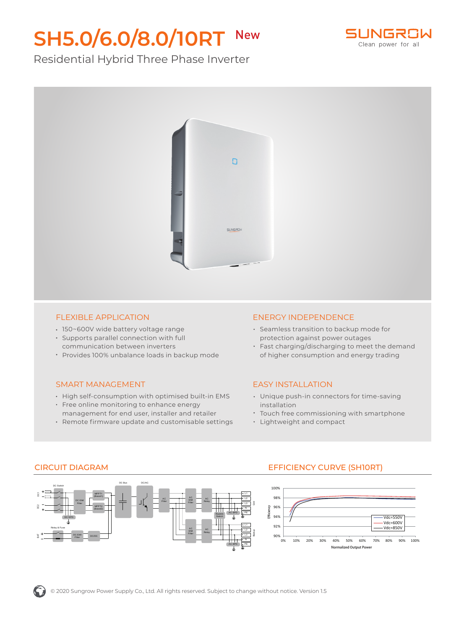# **SH5.0/6.0/8.0/10RT** New



## Residential Hybrid Three Phase Inverter



#### FLEXIBLE APPLICATION

- 150~600V wide battery voltage range
- Supports parallel connection with full communication between inverters

DC Bus

Provides 100% unbalance loads in backup mode

#### SMART MANAGEMENT

- High self-consumption with optimised built-in EMS
- Free online monitoring to enhance energy management for end user, installer and retailer
- Remote firmware update and customisable settings

DC/AC

AC Filter

#### ENERGY INDEPENDENCE

- Seamless transition to backup mode for protection against power outages
- Fast charging/discharging to meet the demand of higher consumption and energy trading

#### EASY INSTALLATION

- Unique push-in connectors for time-saving installation
- Touch free commissioning with smartphone
- Lightweight and compact

### CIRCUIT DIAGRAM EFFICIENCY CURVE (SH10RT)

DC EMI Filter

DC EMI Filter DC/DC

MPPT1 (Boost1) MPPT2 (Boost2)

DC SPD

Relay & Fuse

DC Switch

# 100%





BAT

 $\widetilde{\mathbf{z}}$ 

AC Relay

AC Relay

AC EMI Filter

AC EMI Filter

L1 L2 L3 PE

N

L1 L2 L3 PE N

Backup

AC SPD

Bypass Switch

AC SPD